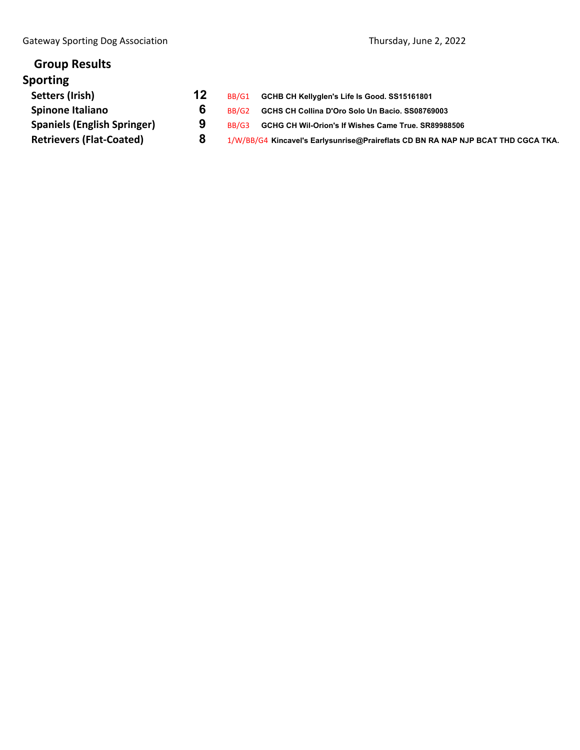| <b>Group Results</b>               |    |       |                                                                                   |
|------------------------------------|----|-------|-----------------------------------------------------------------------------------|
| <b>Sporting</b>                    |    |       |                                                                                   |
| Setters (Irish)                    | 12 | BB/G1 | GCHB CH Kellyglen's Life Is Good. SS15161801                                      |
| <b>Spinone Italiano</b>            | 6  | BB/G2 | GCHS CH Collina D'Oro Solo Un Bacio, SS08769003                                   |
| <b>Spaniels (English Springer)</b> | 9  | BB/G3 | GCHG CH Wil-Orion's If Wishes Came True, SR89988506                               |
| <b>Retrievers (Flat-Coated)</b>    | 8  |       | 1/W/BB/G4 Kincavel's Earlysunrise@Praireflats CD BN RA NAP NJP BCAT THD CGCA TKA. |
|                                    |    |       |                                                                                   |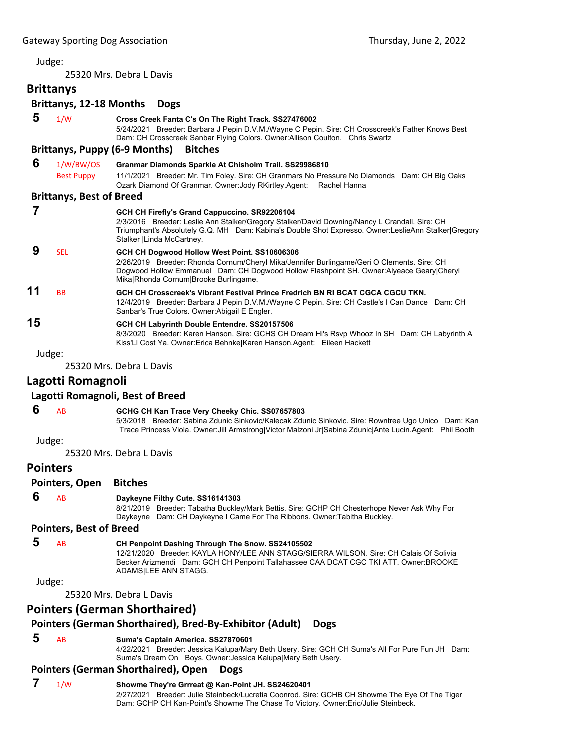#### Judge:

25320 Mrs. Debra L Davis

# **Brittanys**

# **Brittanys, 12‐18 Months Dogs**

| 5  | 1/W                             | Cross Creek Fanta C's On The Right Track. SS27476002<br>5/24/2021 Breeder: Barbara J Pepin D.V.M./Wayne C Pepin. Sire: CH Crosscreek's Father Knows Best<br>Dam: CH Crosscreek Sanbar Flying Colors. Owner: Allison Coulton. Chris Swartz                                           |
|----|---------------------------------|-------------------------------------------------------------------------------------------------------------------------------------------------------------------------------------------------------------------------------------------------------------------------------------|
|    |                                 | <b>Brittanys, Puppy (6-9 Months)</b><br><b>Bitches</b>                                                                                                                                                                                                                              |
| 6  | 1/W/BW/OS                       | Granmar Diamonds Sparkle At Chisholm Trail. SS29986810                                                                                                                                                                                                                              |
|    | <b>Best Puppy</b>               | 11/1/2021 Breeder: Mr. Tim Foley. Sire: CH Granmars No Pressure No Diamonds Dam: CH Big Oaks<br>Ozark Diamond Of Granmar. Owner: Jody RKirtley. Agent:<br>Rachel Hanna                                                                                                              |
|    | <b>Brittanys, Best of Breed</b> |                                                                                                                                                                                                                                                                                     |
|    |                                 | GCH CH Firefly's Grand Cappuccino. SR92206104<br>2/3/2016 Breeder: Leslie Ann Stalker/Gregory Stalker/David Downing/Nancy L Crandall. Sire: CH<br>Triumphant's Absolutely G.Q. MH Dam: Kabina's Double Shot Expresso. Owner:LeslieAnn Stalker Gregory<br>Stalker   Linda McCartney. |
| 9  | <b>SEL</b>                      | GCH CH Dogwood Hollow West Point. SS10606306<br>2/26/2019 Breeder: Rhonda Cornum/Cheryl Mika/Jennifer Burlingame/Geri O Clements. Sire: CH<br>Dogwood Hollow Emmanuel Dam: CH Dogwood Hollow Flashpoint SH. Owner: Alyeace Geary Cheryl<br>Mika Rhonda Cornum Brooke Burlingame.    |
| 11 | <b>BB</b>                       | GCH CH Crosscreek's Vibrant Festival Prince Fredrich BN RI BCAT CGCA CGCU TKN.<br>12/4/2019 Breeder: Barbara J Pepin D.V.M./Wayne C Pepin. Sire: CH Castle's I Can Dance Dam: CH<br>Sanbar's True Colors. Owner: Abigail E Engler.                                                  |
| 15 |                                 | GCH CH Labyrinth Double Entendre. SS20157506<br>8/3/2020 Breeder: Karen Hanson. Sire: GCHS CH Dream Hi's Rsvp Whooz In SH Dam: CH Labyrinth A<br>Kiss'LI Cost Ya. Owner: Erica Behnke Karen Hanson. Agent: Eileen Hackett                                                           |

Judge:

25320 Mrs. Debra L Davis

# **Lagotti Romagnoli**

#### **Lagotti Romagnoli, Best of Breed**

#### **6** AB **GCHG CH Kan Trace Very Cheeky Chic. SS07657803**

5/3/2018 Breeder: Sabina Zdunic Sinkovic/Kalecak Zdunic Sinkovic. Sire: Rowntree Ugo Unico Dam: Kan Trace Princess Viola. Owner:Jill Armstrong|Victor Malzoni Jr|Sabina Zdunic|Ante Lucin.Agent: Phil Booth

Judge:

25320 Mrs. Debra L Davis

#### **Pointers**

**Pointers, Open Bitches**

### **6** AB **Daykeyne Filthy Cute. SS16141303**

8/21/2019 Breeder: Tabatha Buckley/Mark Bettis. Sire: GCHP CH Chesterhope Never Ask Why For Daykeyne Dam: CH Daykeyne I Came For The Ribbons. Owner:Tabitha Buckley.

### **Pointers, Best of Breed**

 **5** AB **CH Penpoint Dashing Through The Snow. SS24105502**

12/21/2020 Breeder: KAYLA HONY/LEE ANN STAGG/SIERRA WILSON. Sire: CH Calais Of Solivia Becker Arizmendi Dam: GCH CH Penpoint Tallahassee CAA DCAT CGC TKI ATT. Owner:BROOKE ADAMS|LEE ANN STAGG.

Judge:

25320 Mrs. Debra L Davis

## **Pointers (German Shorthaired)**

#### **Pointers (German Shorthaired), Bred‐By‐Exhibitor (Adult) Dogs**

 **5** AB **Suma's Captain America. SS27870601**

4/22/2021 Breeder: Jessica Kalupa/Mary Beth Usery. Sire: GCH CH Suma's All For Pure Fun JH Dam: Suma's Dream On Boys. Owner:Jessica Kalupa|Mary Beth Usery.

#### **Pointers (German Shorthaired), Open Dogs**

#### **7** 1/W **Showme They're Grrreat @ Kan-Point JH. SS24620401** 2/27/2021 Breeder: Julie Steinbeck/Lucretia Coonrod. Sire: GCHB CH Showme The Eye Of The Tiger Dam: GCHP CH Kan-Point's Showme The Chase To Victory. Owner:Eric/Julie Steinbeck.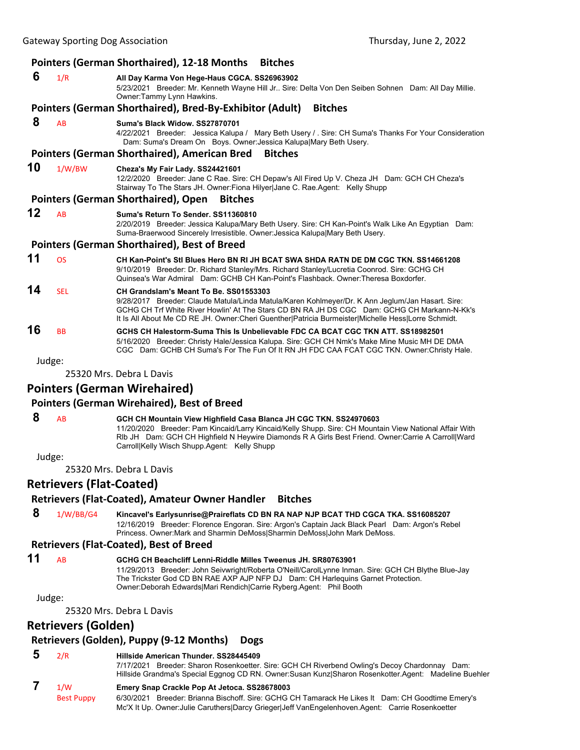|        |            | <b>Pointers (German Shorthaired), 12-18 Months</b><br><b>Bitches</b>                                                                                                                                                                                                                                                                                 |
|--------|------------|------------------------------------------------------------------------------------------------------------------------------------------------------------------------------------------------------------------------------------------------------------------------------------------------------------------------------------------------------|
| 6      | 1/R        | All Day Karma Von Hege-Haus CGCA. SS26963902<br>5/23/2021 Breeder: Mr. Kenneth Wayne Hill Jr Sire: Delta Von Den Seiben Sohnen Dam: All Day Millie.<br>Owner:Tammy Lynn Hawkins.                                                                                                                                                                     |
|        |            | Pointers (German Shorthaired), Bred-By-Exhibitor (Adult)<br><b>Bitches</b>                                                                                                                                                                                                                                                                           |
| 8      | AB         | Suma's Black Widow, SS27870701<br>4/22/2021 Breeder: Jessica Kalupa / Mary Beth Usery / . Sire: CH Suma's Thanks For Your Consideration<br>Dam: Suma's Dream On Boys. Owner Jessica Kalupa Mary Beth Usery.                                                                                                                                          |
|        |            | <b>Pointers (German Shorthaired), American Bred</b><br><b>Bitches</b>                                                                                                                                                                                                                                                                                |
| 10     | 1/W/BW     | Cheza's My Fair Lady. SS24421601<br>12/2/2020 Breeder: Jane C Rae. Sire: CH Depaw's All Fired Up V. Cheza JH Dam: GCH CH Cheza's<br>Stairway To The Stars JH. Owner: Fiona Hilyer Jane C. Rae. Agent: Kelly Shupp                                                                                                                                    |
|        |            | <b>Pointers (German Shorthaired), Open</b><br><b>Bitches</b>                                                                                                                                                                                                                                                                                         |
| 12     | <b>AB</b>  | Suma's Return To Sender, SS11360810<br>2/20/2019 Breeder: Jessica Kalupa/Mary Beth Usery. Sire: CH Kan-Point's Walk Like An Egyptian Dam:<br>Suma-Braerwood Sincerely Irresistible. Owner: Jessica Kalupa Mary Beth Usery.                                                                                                                           |
|        |            | <b>Pointers (German Shorthaired), Best of Breed</b>                                                                                                                                                                                                                                                                                                  |
| 11     | <b>OS</b>  | CH Kan-Point's Stl Blues Hero BN RI JH BCAT SWA SHDA RATN DE DM CGC TKN, SS14661208<br>9/10/2019 Breeder: Dr. Richard Stanley/Mrs. Richard Stanley/Lucretia Coonrod. Sire: GCHG CH<br>Quinsea's War Admiral Dam: GCHB CH Kan-Point's Flashback, Owner: Theresa Boxdorfer,                                                                            |
| 14     | <b>SEL</b> | CH Grandslam's Meant To Be. SS01553303<br>9/28/2017 Breeder: Claude Matula/Linda Matula/Karen Kohlmeyer/Dr. K Ann Jeglum/Jan Hasart. Sire:<br>GCHG CH Trf White River Howlin' At The Stars CD BN RA JH DS CGC Dam: GCHG CH Markann-N-Kk's<br>It Is All About Me CD RE JH. Owner: Cheri Guenther   Patricia Burmeister  Michelle Hess  Lorre Schmidt. |
| 16     | <b>BB</b>  | GCHS CH Halestorm-Suma This Is Unbelievable FDC CA BCAT CGC TKN ATT, SS18982501<br>5/16/2020 Breeder: Christy Hale/Jessica Kalupa. Sire: GCH CH Nmk's Make Mine Music MH DE DMA<br>CGC Dam: GCHB CH Suma's For The Fun Of It RN JH FDC CAA FCAT CGC TKN. Owner:Christy Hale.                                                                         |
| Judge: |            |                                                                                                                                                                                                                                                                                                                                                      |
|        |            | 25220 Mrs. Dahra L. Davie                                                                                                                                                                                                                                                                                                                            |

25320 Mrs. Debra L Davis

### **Pointers (German Wirehaired)**

#### **Pointers (German Wirehaired), Best of Breed**

# **8** AB **GCH CH Mountain View Highfield Casa Blanca JH CGC TKN. SS24970603**

11/20/2020 Breeder: Pam Kincaid/Larry Kincaid/Kelly Shupp. Sire: CH Mountain View National Affair With Rlb JH Dam: GCH CH Highfield N Heywire Diamonds R A Girls Best Friend. Owner:Carrie A Carroll|Ward Carroll|Kelly Wisch Shupp.Agent: Kelly Shupp

Judge:

25320 Mrs. Debra L Davis

### **Retrievers (Flat‐Coated)**

#### **Retrievers (Flat‐Coated), Amateur Owner Handler Bitches**

 **8** 1/W/BB/G4 **Kincavel's Earlysunrise@Praireflats CD BN RA NAP NJP BCAT THD CGCA TKA. SS16085207** 12/16/2019 Breeder: Florence Engoran. Sire: Argon's Captain Jack Black Pearl Dam: Argon's Rebel Princess. Owner:Mark and Sharmin DeMoss|Sharmin DeMoss|John Mark DeMoss.

#### **Retrievers (Flat‐Coated), Best of Breed**

# **11** AB **GCHG CH Beachcliff Lenni-Riddle Milles Tweenus JH. SR80763901**

11/29/2013 Breeder: John Seivwright/Roberta O'Neill/CarolLynne Inman. Sire: GCH CH Blythe Blue-Jay The Trickster God CD BN RAE AXP AJP NFP DJ Dam: CH Harlequins Garnet Protection. Owner:Deborah Edwards|Mari Rendich|Carrie Ryberg.Agent: Phil Booth

#### Judge:

25320 Mrs. Debra L Davis

# **Retrievers (Golden)**

### **Retrievers (Golden), Puppy (9‐12 Months) Dogs**

### **5** 2/R **Hillside American Thunder. SS28445409**

7/17/2021 Breeder: Sharon Rosenkoetter. Sire: GCH CH Riverbend Owling's Decoy Chardonnay Dam: Hillside Grandma's Special Eggnog CD RN. Owner:Susan Kunz|Sharon Rosenkotter.Agent: Madeline Buehler

### **7** 1/W **Emery Snap Crackle Pop At Jetoca. SS28678003**

Best Puppy 6/30/2021 Breeder: Brianna Bischoff. Sire: GCHG CH Tamarack He Likes It Dam: CH Goodtime Emery's Mc'X It Up. Owner:Julie Caruthers|Darcy Grieger|Jeff VanEngelenhoven.Agent: Carrie Rosenkoetter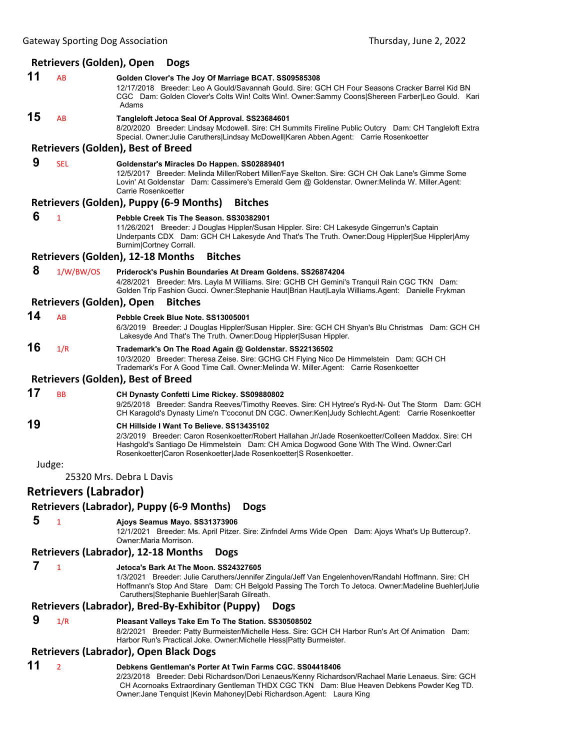### **Retrievers (Golden), Open Dogs**

- **11** AB **Golden Clover's The Joy Of Marriage BCAT. SS09585308** 12/17/2018 Breeder: Leo A Gould/Savannah Gould. Sire: GCH CH Four Seasons Cracker Barrel Kid BN CGC Dam: Golden Clover's Colts Win! Colts Win!. Owner:Sammy Coons|Shereen Farber|Leo Gould. Kari Adams **15** AB **Tangleloft Jetoca Seal Of Approval. SS23684601** 8/20/2020 Breeder: Lindsay Mcdowell. Sire: CH Summits Fireline Public Outcry Dam: CH Tangleloft Extra Special. Owner:Julie Caruthers|Lindsay McDowell|Karen Abben.Agent: Carrie Rosenkoetter **Retrievers (Golden), Best of Breed 9** SEL **Goldenstar's Miracles Do Happen. SS02889401** 12/5/2017 Breeder: Melinda Miller/Robert Miller/Faye Skelton. Sire: GCH CH Oak Lane's Gimme Some Lovin' At Goldenstar Dam: Cassimere's Emerald Gem @ Goldenstar. Owner:Melinda W. Miller.Agent: Carrie Rosenkoetter **Retrievers (Golden), Puppy (6‐9 Months) Bitches 6** <sup>1</sup> **Pebble Creek Tis The Season. SS30382901** 11/26/2021 Breeder: J Douglas Hippler/Susan Hippler. Sire: CH Lakesyde Gingerrun's Captain Underpants CDX Dam: GCH CH Lakesyde And That's The Truth. Owner:Doug Hippler|Sue Hippler|Amy Burnim|Cortney Corrall. **Retrievers (Golden), 12‐18 Months Bitches 8** 1/W/BW/OS **Priderock's Pushin Boundaries At Dream Goldens. SS26874204** 4/28/2021 Breeder: Mrs. Layla M Williams. Sire: GCHB CH Gemini's Tranquil Rain CGC TKN Dam: Golden Trip Fashion Gucci. Owner:Stephanie Haut|Brian Haut|Layla Williams.Agent: Danielle Frykman **Retrievers (Golden), Open Bitches 14** AB **Pebble Creek Blue Note. SS13005001** 6/3/2019 Breeder: J Douglas Hippler/Susan Hippler. Sire: GCH CH Shyan's Blu Christmas Dam: GCH CH Lakesyde And That's The Truth. Owner:Doug Hippler|Susan Hippler. **16** 1/R **Trademark's On The Road Again @ Goldenstar. SS22136502** 10/3/2020 Breeder: Theresa Zeise. Sire: GCHG CH Flying Nico De Himmelstein Dam: GCH CH Trademark's For A Good Time Call. Owner:Melinda W. Miller.Agent: Carrie Rosenkoetter **Retrievers (Golden), Best of Breed 17** BB **CH Dynasty Confetti Lime Rickey. SS09880802** 9/25/2018 Breeder: Sandra Reeves/Timothy Reeves. Sire: CH Hytree's Ryd-N- Out The Storm Dam: GCH CH Karagold's Dynasty Lime'n T'coconut DN CGC. Owner:Ken|Judy Schlecht.Agent: Carrie Rosenkoetter **19 CH Hillside I Want To Believe. SS13435102** 2/3/2019 Breeder: Caron Rosenkoetter/Robert Hallahan Jr/Jade Rosenkoetter/Colleen Maddox. Sire: CH Hashgold's Santiago De Himmelstein Dam: CH Amica Dogwood Gone With The Wind. Owner:Carl Rosenkoetter|Caron Rosenkoetter|Jade Rosenkoetter|S Rosenkoetter. Judge: 25320 Mrs. Debra L Davis **Retrievers (Labrador) Retrievers (Labrador), Puppy (6‐9 Months) Dogs 5** <sup>1</sup> **Ajoys Seamus Mayo. SS31373906** 12/1/2021 Breeder: Ms. April Pitzer. Sire: Zinfndel Arms Wide Open Dam: Ajoys What's Up Buttercup?. Owner:Maria Morrison. **Retrievers (Labrador), 12‐18 Months Dogs 7** <sup>1</sup> **Jetoca's Bark At The Moon. SS24327605** 1/3/2021 Breeder: Julie Caruthers/Jennifer Zingula/Jeff Van Engelenhoven/Randahl Hoffmann. Sire: CH Hoffmann's Stop And Stare Dam: CH Belgold Passing The Torch To Jetoca. Owner: Madeline Buehler|Julie Caruthers|Stephanie Buehler|Sarah Gilreath. **Retrievers (Labrador), Bred‐By‐Exhibitor (Puppy) Dogs 9** 1/R **Pleasant Valleys Take Em To The Station. SS30508502** 8/2/2021 Breeder: Patty Burmeister/Michelle Hess. Sire: GCH CH Harbor Run's Art Of Animation Dam: Harbor Run's Practical Joke. Owner:Michelle Hess|Patty Burmeister. **Retrievers (Labrador), Open Black Dogs**
- **11** <sup>2</sup> **Debkens Gentleman's Porter At Twin Farms CGC. SS04418406** 2/23/2018 Breeder: Debi Richardson/Dori Lenaeus/Kenny Richardson/Rachael Marie Lenaeus. Sire: GCH CH Acornoaks Extraordinary Gentleman THDX CGC TKN Dam: Blue Heaven Debkens Powder Keg TD. Owner:Jane Tenquist |Kevin Mahoney|Debi Richardson.Agent: Laura King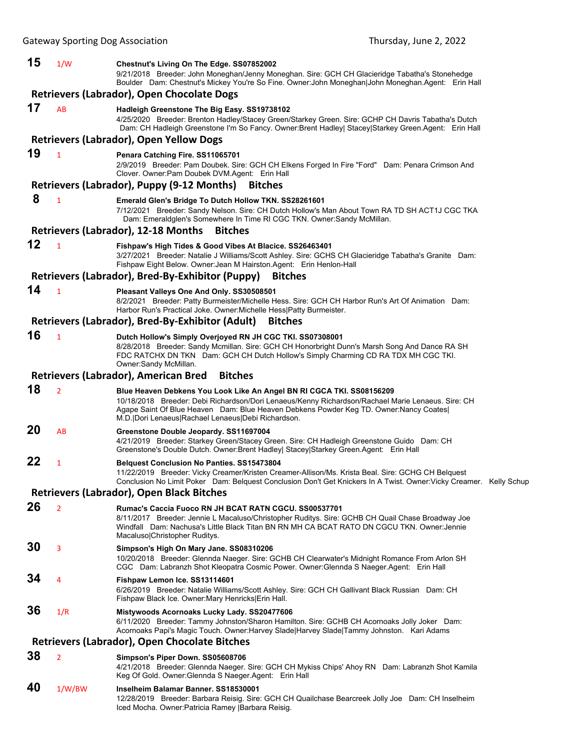| 15 | 1/W            | Chestnut's Living On The Edge. SS07852002<br>9/21/2018 Breeder: John Moneghan/Jenny Moneghan. Sire: GCH CH Glacieridge Tabatha's Stonehedge<br>Boulder Dam: Chestnut's Mickey You're So Fine. Owner: John Moneghan John Moneghan. Agent: Erin Hall                                                                         |  |
|----|----------------|----------------------------------------------------------------------------------------------------------------------------------------------------------------------------------------------------------------------------------------------------------------------------------------------------------------------------|--|
|    |                | Retrievers (Labrador), Open Chocolate Dogs                                                                                                                                                                                                                                                                                 |  |
| 17 | AB             | Hadleigh Greenstone The Big Easy. SS19738102<br>4/25/2020 Breeder: Brenton Hadley/Stacey Green/Starkey Green. Sire: GCHP CH Davris Tabatha's Dutch                                                                                                                                                                         |  |
|    |                | Dam: CH Hadleigh Greenstone I'm So Fancy. Owner: Brent Hadley Stacey Starkey Green. Agent: Erin Hall<br><b>Retrievers (Labrador), Open Yellow Dogs</b>                                                                                                                                                                     |  |
| 19 |                |                                                                                                                                                                                                                                                                                                                            |  |
|    | $\mathbf{1}$   | Penara Catching Fire. SS11065701<br>2/9/2019 Breeder: Pam Doubek. Sire: GCH CH Elkens Forged In Fire "Ford" Dam: Penara Crimson And<br>Clover. Owner: Pam Doubek DVM. Agent: Erin Hall                                                                                                                                     |  |
|    |                | Retrievers (Labrador), Puppy (9-12 Months)<br><b>Bitches</b>                                                                                                                                                                                                                                                               |  |
| 8  | $\mathbf{1}$   | Emerald Glen's Bridge To Dutch Hollow TKN. SS28261601<br>7/12/2021 Breeder: Sandy Nelson. Sire: CH Dutch Hollow's Man About Town RA TD SH ACT1J CGC TKA<br>Dam: Emeraldglen's Somewhere In Time RI CGC TKN. Owner: Sandy McMillan.<br><b>Retrievers (Labrador), 12-18 Months</b><br><b>Bitches</b>                         |  |
| 12 |                |                                                                                                                                                                                                                                                                                                                            |  |
|    | $\mathbf{1}$   | Fishpaw's High Tides & Good Vibes At Blacice. SS26463401<br>3/27/2021 Breeder: Natalie J Williams/Scott Ashley. Sire: GCHS CH Glacieridge Tabatha's Granite Dam:<br>Fishpaw Eight Below. Owner: Jean M Hairston. Agent: Erin Henlon-Hall                                                                                   |  |
|    |                | Retrievers (Labrador), Bred-By-Exhibitor (Puppy)<br><b>Bitches</b>                                                                                                                                                                                                                                                         |  |
| 14 | $\mathbf{1}$   | Pleasant Valleys One And Only. SS30508501<br>8/2/2021 Breeder: Patty Burmeister/Michelle Hess. Sire: GCH CH Harbor Run's Art Of Animation Dam:<br>Harbor Run's Practical Joke. Owner: Michelle Hess   Patty Burmeister.                                                                                                    |  |
|    |                | Retrievers (Labrador), Bred-By-Exhibitor (Adult)<br><b>Bitches</b>                                                                                                                                                                                                                                                         |  |
| 16 | $\mathbf{1}$   | Dutch Hollow's Simply Overjoyed RN JH CGC TKI. SS07308001<br>8/28/2018 Breeder: Sandy Mcmillan. Sire: GCH CH Honorbright Dunn's Marsh Song And Dance RA SH<br>FDC RATCHX DN TKN Dam: GCH CH Dutch Hollow's Simply Charming CD RA TDX MH CGC TKI.<br>Owner:Sandy McMillan.                                                  |  |
|    |                | <b>Retrievers (Labrador), American Bred</b><br><b>Bitches</b>                                                                                                                                                                                                                                                              |  |
| 18 | $\overline{2}$ | Blue Heaven Debkens You Look Like An Angel BN RI CGCA TKI. SS08156209<br>10/18/2018 Breeder: Debi Richardson/Dori Lenaeus/Kenny Richardson/Rachael Marie Lenaeus. Sire: CH<br>Agape Saint Of Blue Heaven Dam: Blue Heaven Debkens Powder Keg TD. Owner:Nancy Coates <br>M.D. Dori Lenaeus Rachael Lenaeus Debi Richardson. |  |
| 20 | AB             | Greenstone Double Jeopardy. SS11697004<br>4/21/2019 Breeder: Starkey Green/Stacey Green. Sire: CH Hadleigh Greenstone Guido Dam: CH<br>Greenstone's Double Dutch. Owner:Brent Hadley  Stacey Starkey Green.Agent: Erin Hall                                                                                                |  |
| 22 | 1              | <b>Belquest Conclusion No Panties. SS15473804</b><br>11/22/2019 Breeder: Vicky Creamer/Kristen Creamer-Allison/Ms. Krista Beal. Sire: GCHG CH Belquest<br>Conclusion No Limit Poker Dam: Belquest Conclusion Don't Get Knickers In A Twist. Owner: Vicky Creamer. Kelly Schup                                              |  |
|    |                | <b>Retrievers (Labrador), Open Black Bitches</b>                                                                                                                                                                                                                                                                           |  |
| 26 | $\overline{2}$ | Rumac's Caccia Fuoco RN JH BCAT RATN CGCU. SS00537701<br>8/11/2017 Breeder: Jennie L Macaluso/Christopher Ruditys. Sire: GCHB CH Quail Chase Broadway Joe<br>Windfall Dam: Nachusa's Little Black Titan BN RN MH CA BCAT RATO DN CGCU TKN. Owner:Jennie<br>Macaluso Christopher Ruditys.                                   |  |
| 30 | 3              | Simpson's High On Mary Jane. SS08310206<br>10/20/2018 Breeder: Glennda Naeger. Sire: GCHB CH Clearwater's Midnight Romance From Arlon SH<br>CGC Dam: Labranzh Shot Kleopatra Cosmic Power. Owner: Glennda S Naeger. Agent: Erin Hall                                                                                       |  |
| 34 | 4              | Fishpaw Lemon Ice. SS13114601<br>6/26/2019 Breeder: Natalie Williams/Scott Ashley. Sire: GCH CH Gallivant Black Russian Dam: CH<br>Fishpaw Black Ice. Owner: Mary Henricks Erin Hall.                                                                                                                                      |  |
| 36 | 1/R            | Mistywoods Acornoaks Lucky Lady. SS20477606<br>6/11/2020 Breeder: Tammy Johnston/Sharon Hamilton. Sire: GCHB CH Acornoaks Jolly Joker Dam:<br>Acornoaks Papi's Magic Touch. Owner: Harvey Slade   Harvey Slade   Tammy Johnston. Kari Adams                                                                                |  |
|    |                | <b>Retrievers (Labrador), Open Chocolate Bitches</b>                                                                                                                                                                                                                                                                       |  |
| 38 | $\overline{2}$ | Simpson's Piper Down. SS05608706<br>4/21/2018 Breeder: Glennda Naeger. Sire: GCH CH Mykiss Chips' Ahoy RN Dam: Labranzh Shot Kamila<br>Keg Of Gold. Owner: Glennda S Naeger. Agent: Erin Hall                                                                                                                              |  |
| 40 | 1/W/BW         | Inselheim Balamar Banner. SS18530001<br>12/28/2019 Breeder: Barbara Reisig. Sire: GCH CH Quailchase Bearcreek Jolly Joe Dam: CH Inselheim<br>Iced Mocha. Owner: Patricia Ramey   Barbara Reisig.                                                                                                                           |  |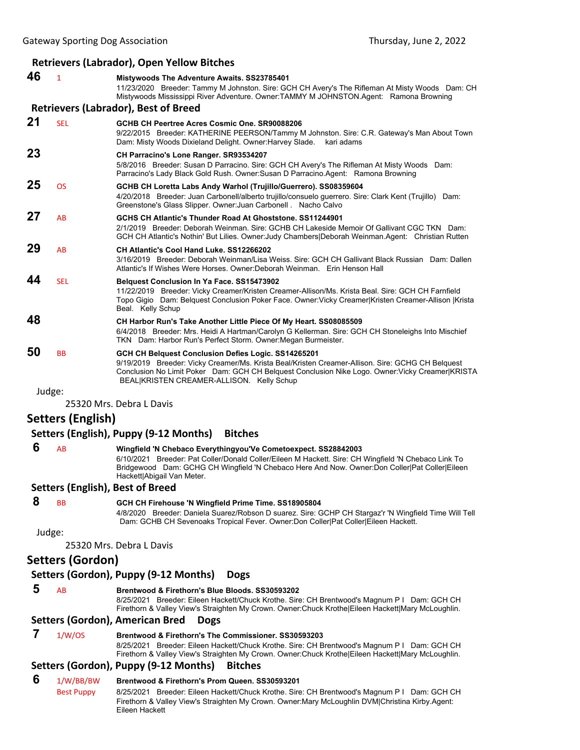# **Retrievers (Labrador), Open Yellow Bitches**

| 46     | 1                 | <b>Mistywoods The Adventure Awaits. SS23785401</b><br>11/23/2020 Breeder: Tammy M Johnston. Sire: GCH CH Avery's The Rifleman At Misty Woods Dam: CH<br>Mistywoods Mississippi River Adventure. Owner:TAMMY M JOHNSTON.Agent: Ramona Browning                                                            |
|--------|-------------------|----------------------------------------------------------------------------------------------------------------------------------------------------------------------------------------------------------------------------------------------------------------------------------------------------------|
|        |                   | <b>Retrievers (Labrador), Best of Breed</b>                                                                                                                                                                                                                                                              |
| 21     | <b>SEL</b>        | GCHB CH Peertree Acres Cosmic One, SR90088206<br>9/22/2015 Breeder: KATHERINE PEERSON/Tammy M Johnston. Sire: C.R. Gateway's Man About Town<br>Dam: Misty Woods Dixieland Delight. Owner: Harvey Slade.<br>kari adams                                                                                    |
| 23     |                   | CH Parracino's Lone Ranger. SR93534207<br>5/8/2016 Breeder: Susan D Parracino. Sire: GCH CH Avery's The Rifleman At Misty Woods Dam:<br>Parracino's Lady Black Gold Rush. Owner: Susan D Parracino. Agent: Ramona Browning                                                                               |
| 25     | <b>OS</b>         | GCHB CH Loretta Labs Andy Warhol (Trujillo/Guerrero). SS08359604<br>4/20/2018 Breeder: Juan Carbonell/alberto trujillo/consuelo guerrero. Sire: Clark Kent (Trujillo) Dam:<br>Greenstone's Glass Slipper. Owner: Juan Carbonell . Nacho Calvo                                                            |
| 27     | AB                | GCHS CH Atlantic's Thunder Road At Ghoststone, SS11244901<br>2/1/2019 Breeder: Deborah Weinman. Sire: GCHB CH Lakeside Memoir Of Gallivant CGC TKN Dam:<br>GCH CH Atlantic's Nothin' But Lilies. Owner: Judy Chambers Deborah Weinman.Agent: Christian Rutten                                            |
| 29     | AB                | CH Atlantic's Cool Hand Luke. SS12266202<br>3/16/2019 Breeder: Deborah Weinman/Lisa Weiss. Sire: GCH CH Gallivant Black Russian Dam: Dallen<br>Atlantic's If Wishes Were Horses. Owner:Deborah Weinman. Erin Henson Hall                                                                                 |
| 44     | <b>SEL</b>        | Belquest Conclusion In Ya Face. SS15473902<br>11/22/2019 Breeder: Vicky Creamer/Kristen Creamer-Allison/Ms. Krista Beal. Sire: GCH CH Farnfield<br>Topo Gigio Dam: Belquest Conclusion Poker Face. Owner: Vicky Creamer Kristen Creamer-Allison  Krista<br>Beal. Kelly Schup                             |
| 48     |                   | CH Harbor Run's Take Another Little Piece Of My Heart. SS08085509<br>6/4/2018 Breeder: Mrs. Heidi A Hartman/Carolyn G Kellerman. Sire: GCH CH Stoneleighs Into Mischief<br>TKN Dam: Harbor Run's Perfect Storm. Owner: Megan Burmeister.                                                                 |
| 50     | <b>BB</b>         | GCH CH Belquest Conclusion Defies Logic. SS14265201<br>9/19/2019 Breeder: Vicky Creamer/Ms. Krista Beal/Kristen Creamer-Allison. Sire: GCHG CH Belquest<br>Conclusion No Limit Poker Dam: GCH CH Belquest Conclusion Nike Logo. Owner: Vicky Creamer KRISTA<br>BEAL KRISTEN CREAMER-ALLISON. Kelly Schup |
| Judge: |                   |                                                                                                                                                                                                                                                                                                          |
|        |                   | 25320 Mrs. Debra L Davis                                                                                                                                                                                                                                                                                 |
|        | Setters (English) |                                                                                                                                                                                                                                                                                                          |
|        |                   | Setters (English), Puppy (9-12 Months)<br><b>Bitches</b>                                                                                                                                                                                                                                                 |
| 6      | AB                | Wingfield 'N Chebaco Everythingyou'Ve Cometoexpect. SS28842003<br>6/10/2021 Breeder: Pat Coller/Donald Coller/Eileen M Hackett. Sire: CH Wingfield 'N Chebaco Link To<br>Bridgewood Dam: GCHG CH Wingfield 'N Chebaco Here And Now. Owner:Don Coller Pat Coller Eileen<br>Hackett Abigail Van Meter.     |
|        |                   | <b>Setters (English), Best of Breed</b>                                                                                                                                                                                                                                                                  |
| 8      | <b>BB</b>         | GCH CH Firehouse 'N Wingfield Prime Time. SS18905804<br>4/8/2020 Breeder: Daniela Suarez/Robson D suarez. Sire: GCHP CH Stargaz'r 'N Wingfield Time Will Tell<br>Dam: GCHB CH Sevenoaks Tropical Fever. Owner:Don Coller Pat Coller Eileen Hackett.                                                      |
| Judge: |                   |                                                                                                                                                                                                                                                                                                          |
|        |                   | 25320 Mrs. Debra L Davis                                                                                                                                                                                                                                                                                 |
|        | Setters (Gordon)  |                                                                                                                                                                                                                                                                                                          |
|        |                   | Setters (Gordon), Puppy (9-12 Months)<br><b>Dogs</b>                                                                                                                                                                                                                                                     |
| 5      | AB                | Brentwood & Firethorn's Blue Bloods. SS30593202<br>8/25/2021 Breeder: Eileen Hackett/Chuck Krothe. Sire: CH Brentwood's Magnum P I Dam: GCH CH<br>Firethorn & Valley View's Straighten My Crown. Owner:Chuck Krothe Eileen Hackett Mary McLoughlin.                                                      |
|        |                   | Setters (Gordon), American Bred<br><b>Dogs</b>                                                                                                                                                                                                                                                           |
| 7      | 1/W/OS            | Brentwood & Firethorn's The Commissioner. SS30593203<br>8/25/2021 Breeder: Eileen Hackett/Chuck Krothe. Sire: CH Brentwood's Magnum P I Dam: GCH CH<br>Firethorn & Valley View's Straighten My Crown. Owner: Chuck Krothe Eileen Hackett Mary McLoughlin.                                                |
|        |                   | Setters (Gordon), Puppy (9-12 Months)<br><b>Bitches</b>                                                                                                                                                                                                                                                  |
| 6      | 1/W/BB/BW         | Brentwood & Firethorn's Prom Queen. SS30593201                                                                                                                                                                                                                                                           |
|        | <b>Best Puppy</b> | 8/25/2021 Breeder: Eileen Hackett/Chuck Krothe. Sire: CH Brentwood's Magnum P I Dam: GCH CH<br>Firethorn & Valley View's Straighten My Crown. Owner: Mary McLoughlin DVM Christina Kirby Agent:<br>Eileen Hackett                                                                                        |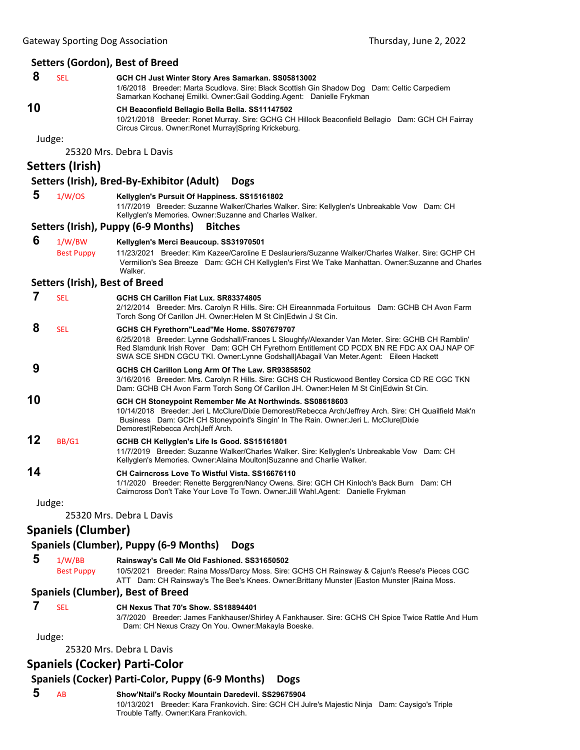#### **Setters (Gordon), Best of Breed**

 **8** SEL **GCH CH Just Winter Story Ares Samarkan. SS05813002** 1/6/2018 Breeder: Marta Scudlova. Sire: Black Scottish Gin Shadow Dog Dam: Celtic Carpediem Samarkan Kochanej Emilki. Owner:Gail Godding.Agent: Danielle Frykman **10 CH Beaconfield Bellagio Bella Bella. SS11147502** 10/21/2018 Breeder: Ronet Murray. Sire: GCHG CH Hillock Beaconfield Bellagio Dam: GCH CH Fairray Circus Circus. Owner:Ronet Murray|Spring Krickeburg.

Judge:

25320 Mrs. Debra L Davis

## **Setters (Irish)**

#### **Setters (Irish), Bred‐By‐Exhibitor (Adult) Dogs**

 **5** 1/W/OS **Kellyglen's Pursuit Of Happiness. SS15161802** 11/7/2019 Breeder: Suzanne Walker/Charles Walker. Sire: Kellyglen's Unbreakable Vow Dam: CH Kellyglen's Memories. Owner:Suzanne and Charles Walker.

#### **Setters (Irish), Puppy (6‐9 Months) Bitches**

 **6** 1/W/BW **Kellyglen's Merci Beaucoup. SS31970501** Best Puppy 11/23/2021 Breeder: Kim Kazee/Caroline E Deslauriers/Suzanne Walker/Charles Walker. Sire: GCHP CH Vermilion's Sea Breeze Dam: GCH CH Kellyglen's First We Take Manhattan. Owner:Suzanne and Charles Walker.

#### **Setters (Irish), Best of Breed**

|    | <b>SEL</b> | GCHS CH Carillon Fiat Lux, SR83374805                                                                                                                                                                                                                                                                                               |
|----|------------|-------------------------------------------------------------------------------------------------------------------------------------------------------------------------------------------------------------------------------------------------------------------------------------------------------------------------------------|
|    |            | 2/12/2014 Breeder: Mrs. Carolyn R Hills. Sire: CH Eireannmada Fortuitous Dam: GCHB CH Avon Farm<br>Torch Song Of Carillon JH. Owner: Helen M St Cin Edwin J St Cin.                                                                                                                                                                 |
| 8  | <b>SEL</b> | GCHS CH Fyrethorn"Lead"Me Home. SS07679707<br>6/25/2018 Breeder: Lynne Godshall/Frances L Sloughfy/Alexander Van Meter. Sire: GCHB CH Ramblin'<br>Red Slamdunk Irish Rover Dam: GCH CH Fyrethorn Entitlement CD PCDX BN RE FDC AX OAJ NAP OF<br>SWA SCE SHDN CGCU TKI. Owner:Lynne Godshall Abagail Van Meter.Agent: Eileen Hackett |
| 9  |            | GCHS CH Carillon Long Arm Of The Law. SR93858502<br>3/16/2016 Breeder: Mrs. Carolyn R Hills. Sire: GCHS CH Rusticwood Bentley Corsica CD RE CGC TKN<br>Dam: GCHB CH Avon Farm Torch Song Of Carillon JH. Owner:Helen M St Cin Edwin St Cin.                                                                                         |
| 10 |            | GCH CH Stoneypoint Remember Me At Northwinds. SS08618603<br>10/14/2018 Breeder: Jeri L McClure/Dixie Demorest/Rebecca Arch/Jeffrey Arch. Sire: CH Quailfield Mak'n<br>Business Dam: GCH CH Stoneypoint's Singin' In The Rain. Owner: Jeri L. McClure Dixie<br>Demorest Rebecca Arch Jeff Arch.                                      |
| 12 | BB/G1      | GCHB CH Kellyglen's Life Is Good. SS15161801<br>11/7/2019 Breeder: Suzanne Walker/Charles Walker. Sire: Kellyglen's Unbreakable Vow Dam: CH<br>Kellyglen's Memories. Owner: Alaina Moulton Suzanne and Charlie Walker.                                                                                                              |
| 14 |            | CH Cairncross Love To Wistful Vista, SS16676110<br>1/1/2020 Breeder: Renette Berggren/Nancy Owens. Sire: GCH CH Kinloch's Back Burn Dam: CH<br>Cairncross Don't Take Your Love To Town. Owner: Jill Wahl.Agent: Danielle Frykman                                                                                                    |
|    | ۱٬۱۰۸٬۵۰۰  |                                                                                                                                                                                                                                                                                                                                     |

Judge:

25320 Mrs. Debra L Davis

### **Spaniels (Clumber)**

### **Spaniels (Clumber), Puppy (6‐9 Months) Dogs**

 **5** 1/W/BB **Rainsway's Call Me Old Fashioned. SS31650502** Best Puppy 10/5/2021 Breeder: Raina Moss/Darcy Moss. Sire: GCHS CH Rainsway & Cajun's Reese's Pieces CGC ATT Dam: CH Rainsway's The Bee's Knees. Owner:Brittany Munster |Easton Munster |Raina Moss.

#### **Spaniels (Clumber), Best of Breed**

## **7** SEL **CH Nexus That 70's Show. SS18894401**

3/7/2020 Breeder: James Fankhauser/Shirley A Fankhauser. Sire: GCHS CH Spice Twice Rattle And Hum Dam: CH Nexus Crazy On You. Owner:Makayla Boeske.

Judge:

25320 Mrs. Debra L Davis

# **Spaniels (Cocker) Parti‐Color**

# **Spaniels (Cocker) Parti‐Color, Puppy (6‐9 Months) Dogs**

 **5** AB **Show'Ntail's Rocky Mountain Daredevil. SS29675904** 10/13/2021 Breeder: Kara Frankovich. Sire: GCH CH Julre's Majestic Ninja Dam: Caysigo's Triple Trouble Taffy. Owner:Kara Frankovich.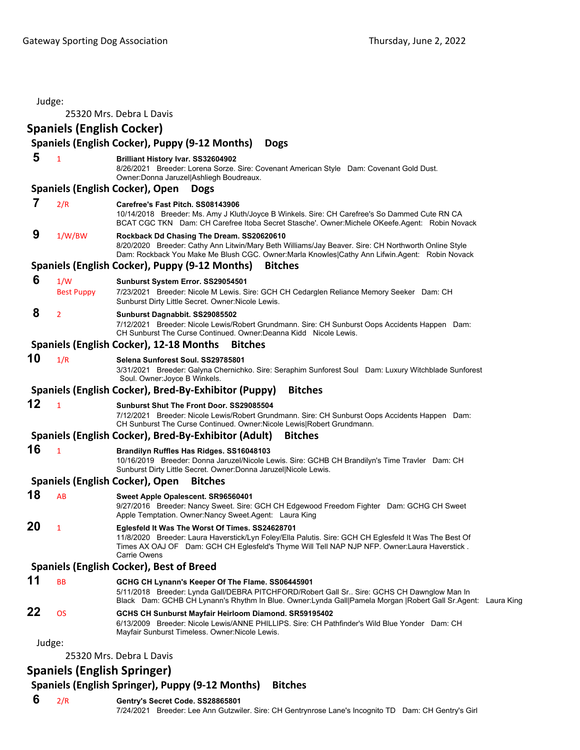| Judge: |                                  | 25320 Mrs. Debra L Davis                                                                                                                                                                                                                                                  |
|--------|----------------------------------|---------------------------------------------------------------------------------------------------------------------------------------------------------------------------------------------------------------------------------------------------------------------------|
|        | <b>Spaniels (English Cocker)</b> |                                                                                                                                                                                                                                                                           |
|        |                                  | Spaniels (English Cocker), Puppy (9-12 Months)<br><b>Dogs</b>                                                                                                                                                                                                             |
| 5      | $\mathbf{1}$                     | Brilliant History Ivar. SS32604902<br>8/26/2021 Breeder: Lorena Sorze. Sire: Covenant American Style Dam: Covenant Gold Dust.<br>Owner: Donna Jaruzel Ashliegh Boudreaux.                                                                                                 |
|        |                                  | <b>Spaniels (English Cocker), Open</b><br><b>Dogs</b>                                                                                                                                                                                                                     |
| 7      | 2/R                              | Carefree's Fast Pitch. SS08143906<br>10/14/2018 Breeder: Ms. Amy J Kluth/Joyce B Winkels. Sire: CH Carefree's So Dammed Cute RN CA<br>BCAT CGC TKN Dam: CH Carefree Itoba Secret Stasche'. Owner: Michele OKeefe. Agent: Robin Novack                                     |
| 9      | 1/W/BW                           | Rockback Dd Chasing The Dream. SS20620610<br>8/20/2020 Breeder: Cathy Ann Litwin/Mary Beth Williams/Jay Beaver. Sire: CH Northworth Online Style<br>Dam: Rockback You Make Me Blush CGC. Owner: Marla Knowles Cathy Ann Lifwin. Agent: Robin Novack                       |
|        |                                  | Spaniels (English Cocker), Puppy (9-12 Months)<br><b>Bitches</b>                                                                                                                                                                                                          |
| 6      | 1/W<br><b>Best Puppy</b>         | Sunburst System Error. SS29054501<br>7/23/2021 Breeder: Nicole M Lewis. Sire: GCH CH Cedarglen Reliance Memory Seeker Dam: CH<br>Sunburst Dirty Little Secret. Owner: Nicole Lewis.                                                                                       |
| 8      | $\overline{2}$                   | Sunburst Dagnabbit. SS29085502<br>7/12/2021 Breeder: Nicole Lewis/Robert Grundmann. Sire: CH Sunburst Oops Accidents Happen Dam:<br>CH Sunburst The Curse Continued. Owner: Deanna Kidd Nicole Lewis.                                                                     |
|        |                                  | Spaniels (English Cocker), 12-18 Months<br><b>Bitches</b>                                                                                                                                                                                                                 |
| 10     | 1/R                              | Selena Sunforest Soul, SS29785801<br>3/31/2021 Breeder: Galyna Chernichko. Sire: Seraphim Sunforest Soul Dam: Luxury Witchblade Sunforest<br>Soul. Owner: Joyce B Winkels.                                                                                                |
|        |                                  | Spaniels (English Cocker), Bred-By-Exhibitor (Puppy)<br><b>Bitches</b>                                                                                                                                                                                                    |
| 12     | $\mathbf{1}$                     | Sunburst Shut The Front Door, SS29085504<br>7/12/2021 Breeder: Nicole Lewis/Robert Grundmann. Sire: CH Sunburst Oops Accidents Happen Dam:<br>CH Sunburst The Curse Continued. Owner: Nicole Lewis Robert Grundmann.                                                      |
|        |                                  | Spaniels (English Cocker), Bred-By-Exhibitor (Adult)<br><b>Bitches</b>                                                                                                                                                                                                    |
| 16     | $\mathbf{1}$                     | Brandilyn Ruffles Has Ridges. SS16048103<br>10/16/2019 Breeder: Donna Jaruzel/Nicole Lewis. Sire: GCHB CH Brandilyn's Time Travler Dam: CH<br>Sunburst Dirty Little Secret. Owner: Donna Jaruzel Nicole Lewis.                                                            |
|        |                                  | Spaniels (English Cocker), Open<br><b>Bitches</b>                                                                                                                                                                                                                         |
| 18     | AB                               | Sweet Apple Opalescent. SR96560401<br>9/27/2016 Breeder: Nancy Sweet. Sire: GCH CH Edgewood Freedom Fighter Dam: GCHG CH Sweet<br>Apple Temptation. Owner:Nancy Sweet.Agent: Laura King                                                                                   |
| 20     | $\mathbf{1}$                     | Eglesfeld It Was The Worst Of Times. SS24628701<br>11/8/2020 Breeder: Laura Haverstick/Lyn Foley/Ella Palutis. Sire: GCH CH Eglesfeld It Was The Best Of<br>Times AX OAJ OF Dam: GCH CH Eglesfeld's Thyme Will Tell NAP NJP NFP. Owner: Laura Haverstick.<br>Carrie Owens |
|        |                                  | <b>Spaniels (English Cocker), Best of Breed</b>                                                                                                                                                                                                                           |
| 11     | <b>BB</b>                        | GCHG CH Lynann's Keeper Of The Flame. SS06445901<br>5/11/2018 Breeder: Lynda Gall/DEBRA PITCHFORD/Robert Gall Sr Sire: GCHS CH Dawnglow Man In<br>Black Dam: GCHB CH Lynann's Rhythm In Blue. Owner: Lynda Gall Pamela Morgan   Robert Gall Sr. Agent: Laura King         |
| 22     | <b>OS</b>                        | GCHS CH Sunburst Mayfair Heirloom Diamond. SR59195402<br>6/13/2009 Breeder: Nicole Lewis/ANNE PHILLIPS. Sire: CH Pathfinder's Wild Blue Yonder Dam: CH<br>Mayfair Sunburst Timeless. Owner:Nicole Lewis.                                                                  |
| Judge: |                                  |                                                                                                                                                                                                                                                                           |
|        |                                  | 25320 Mrs. Debra L Davis                                                                                                                                                                                                                                                  |
|        |                                  | <b>Spaniels (English Springer)</b>                                                                                                                                                                                                                                        |

# **Spaniels (English Springer), Puppy (9‐12 Months) Bitches**

 **6** 2/R **Gentry's Secret Code. SS28865801** 7/24/2021 Breeder: Lee Ann Gutzwiler. Sire: CH Gentrynrose Lane's Incognito TD Dam: CH Gentry's Girl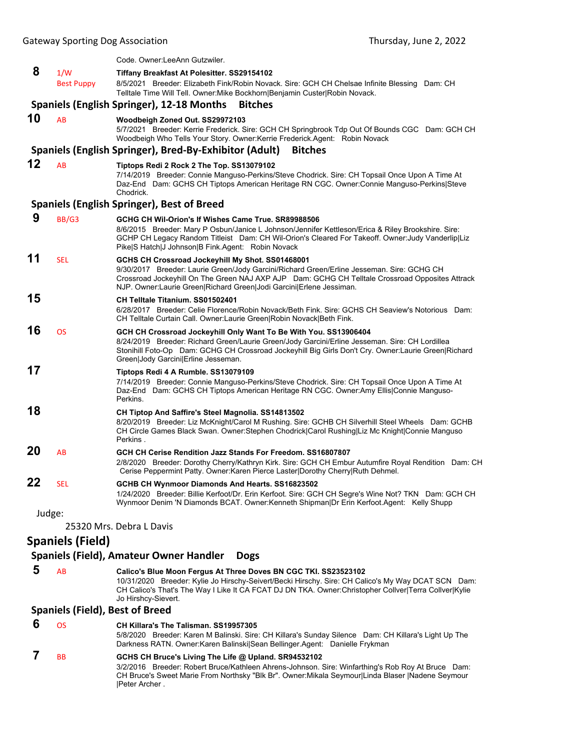|    |                         | Code. Owner: LeeAnn Gutzwiler.                                                                                                                                                                                                                                                                                          |
|----|-------------------------|-------------------------------------------------------------------------------------------------------------------------------------------------------------------------------------------------------------------------------------------------------------------------------------------------------------------------|
| 8  | 1/W                     | Tiffany Breakfast At Polesitter. SS29154102                                                                                                                                                                                                                                                                             |
|    | <b>Best Puppy</b>       | 8/5/2021 Breeder: Elizabeth Fink/Robin Novack. Sire: GCH CH Chelsae Infinite Blessing Dam: CH<br>Telltale Time Will Tell. Owner: Mike Bockhorn   Benjamin Custer   Robin Novack.                                                                                                                                        |
|    |                         | Spaniels (English Springer), 12-18 Months<br><b>Bitches</b>                                                                                                                                                                                                                                                             |
| 10 | AB                      | Woodbeigh Zoned Out. SS29972103<br>5/7/2021 Breeder: Kerrie Frederick. Sire: GCH CH Springbrook Tdp Out Of Bounds CGC Dam: GCH CH<br>Woodbeigh Who Tells Your Story. Owner: Kerrie Frederick. Agent: Robin Novack                                                                                                       |
|    |                         | Spaniels (English Springer), Bred-By-Exhibitor (Adult)<br><b>Bitches</b>                                                                                                                                                                                                                                                |
| 12 | AB                      | Tiptops Redi 2 Rock 2 The Top. SS13079102                                                                                                                                                                                                                                                                               |
|    |                         | 7/14/2019 Breeder: Connie Manguso-Perkins/Steve Chodrick. Sire: CH Topsail Once Upon A Time At<br>Daz-End Dam: GCHS CH Tiptops American Heritage RN CGC. Owner:Connie Manguso-Perkins Steve<br>Chodrick.                                                                                                                |
|    |                         | <b>Spaniels (English Springer), Best of Breed</b>                                                                                                                                                                                                                                                                       |
| 9  | BB/G3                   | GCHG CH Wil-Orion's If Wishes Came True. SR89988506<br>8/6/2015 Breeder: Mary P Osbun/Janice L Johnson/Jennifer Kettleson/Erica & Riley Brookshire. Sire:<br>GCHP CH Legacy Random Titleist Dam: CH Wil-Orion's Cleared For Takeoff. Owner:Judy Vanderlip Liz<br>Pike S Hatch J Johnson B Fink.Agent: Robin Novack      |
| 11 | <b>SEL</b>              | GCHS CH Crossroad Jockeyhill My Shot. SS01468001<br>9/30/2017 Breeder: Laurie Green/Jody Garcini/Richard Green/Erline Jesseman. Sire: GCHG CH<br>Crossroad Jockeyhill On The Green NAJ AXP AJP Dam: GCHG CH Telltale Crossroad Opposites Attrack<br>NJP. Owner:Laurie Green Richard Green Jodi Garcini Erlene Jessiman. |
| 15 |                         | CH Telltale Titanium, SS01502401<br>6/28/2017 Breeder: Celie Florence/Robin Novack/Beth Fink. Sire: GCHS CH Seaview's Notorious Dam:<br>CH Telltale Curtain Call. Owner:Laurie Green Robin Novack Beth Fink.                                                                                                            |
| 16 | <b>OS</b>               | GCH CH Crossroad Jockeyhill Only Want To Be With You. SS13906404<br>8/24/2019 Breeder: Richard Green/Laurie Green/Jody Garcini/Erline Jesseman. Sire: CH Lordillea<br>Stonihill Foto-Op Dam: GCHG CH Crossroad Jockeyhill Big Girls Don't Cry. Owner:Laurie Green Richard<br>Green Jody Garcini Erline Jesseman.        |
| 17 |                         | Tiptops Redi 4 A Rumble. SS13079109<br>7/14/2019 Breeder: Connie Manguso-Perkins/Steve Chodrick. Sire: CH Topsail Once Upon A Time At<br>Daz-End Dam: GCHS CH Tiptops American Heritage RN CGC. Owner:Amy Ellis Connie Manguso-<br>Perkins.                                                                             |
| 18 |                         | CH Tiptop And Saffire's Steel Magnolia. SS14813502<br>8/20/2019 Breeder: Liz McKnight/Carol M Rushing. Sire: GCHB CH Silverhill Steel Wheels Dam: GCHB<br>CH Circle Games Black Swan. Owner:Stephen Chodrick Carol Rushing Liz Mc Knight Connie Manguso<br>Perkins.                                                     |
| 20 | AB                      | GCH CH Cerise Rendition Jazz Stands For Freedom. SS16807807<br>2/8/2020 Breeder: Dorothy Cherry/Kathryn Kirk. Sire: GCH CH Embur Autumfire Royal Rendition Dam: CH<br>Cerise Peppermint Patty. Owner: Karen Pierce Laster Dorothy Cherry Ruth Dehmel.                                                                   |
| 22 | SEL                     | GCHB CH Wynmoor Diamonds And Hearts. SS16823502<br>1/24/2020 Breeder: Billie Kerfoot/Dr. Erin Kerfoot. Sire: GCH CH Segre's Wine Not? TKN Dam: GCH CH<br>Wynmoor Denim 'N Diamonds BCAT. Owner: Kenneth Shipman   Dr Erin Kerfoot. Agent: Kelly Shupp                                                                   |
|    | Judge:                  |                                                                                                                                                                                                                                                                                                                         |
|    |                         | 25320 Mrs. Debra L Davis                                                                                                                                                                                                                                                                                                |
|    | <b>Spaniels (Field)</b> |                                                                                                                                                                                                                                                                                                                         |
|    |                         | Spaniels (Field), Amateur Owner Handler<br><b>Dogs</b>                                                                                                                                                                                                                                                                  |
| 5  | AB                      | Calico's Blue Moon Fergus At Three Doves BN CGC TKI. SS23523102<br>10/31/2020 Breeder: Kylie Jo Hirschy-Seivert/Becki Hirschy. Sire: CH Calico's My Way DCAT SCN Dam:                                                                                                                                                   |

CH Calico's That's The Way I Like It CA FCAT DJ DN TKA. Owner:Christopher Collver|Terra Collver|Kylie Jo Hirshcy-Sievert.

# **Spaniels (Field), Best of Breed**

| 6 | OS        | CH Killara's The Talisman, SS19957305                                                                                                                                              |
|---|-----------|------------------------------------------------------------------------------------------------------------------------------------------------------------------------------------|
|   |           | 5/8/2020 Breeder: Karen M Balinski. Sire: CH Killara's Sunday Silence Dam: CH Killara's Light Up The<br>Darkness RATN. Owner:Karen Balinski Sean Bellinger.Agent: Danielle Frykman |
|   | <b>RR</b> | GCHS CH Bruce's Living The Life @ Upland. SR94532102                                                                                                                               |
|   |           | 3/2/2016 Breeder: Robert Bruce/Kathleen Ahrens-Johnson. Sire: Winfarthing's Rob Roy At Bruce Dam:                                                                                  |

3/2/2016 Breeder: Robert Bruce/Kathleen Ahrens-Johnson. Sire: Winfarthing's Rob Roy At Bruce Dam: CH Bruce's Sweet Marie From Northsky "Blk Br". Owner:Mikala Seymour|Linda Blaser |Nadene Seymour |Peter Archer .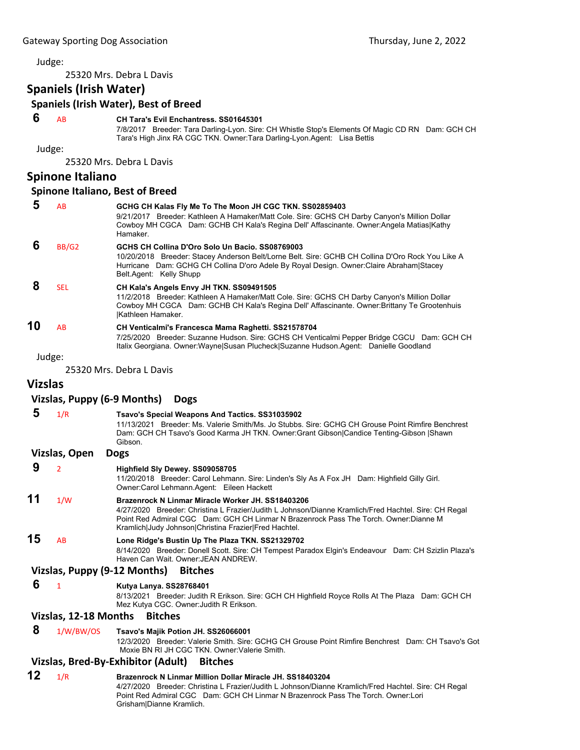Judge:

25320 Mrs. Debra L Davis

**Spaniels (Irish Water)**

### **Spaniels (Irish Water), Best of Breed**

# **6** AB **CH Tara's Evil Enchantress. SS01645301**

7/8/2017 Breeder: Tara Darling-Lyon. Sire: CH Whistle Stop's Elements Of Magic CD RN Dam: GCH CH Tara's High Jinx RA CGC TKN. Owner:Tara Darling-Lyon.Agent: Lisa Bettis

Judge:

25320 Mrs. Debra L Davis

## **Spinone Italiano**

#### **Spinone Italiano, Best of Breed**

|    | AB         | GCHG CH Kalas Fly Me To The Moon JH CGC TKN. SS02859403<br>9/21/2017 Breeder: Kathleen A Hamaker/Matt Cole. Sire: GCHS CH Darby Canyon's Million Dollar<br>Cowboy MH CGCA Dam: GCHB CH Kala's Regina Dell' Affascinante. Owner: Angela Matias Kathy<br>Hamaker.            |
|----|------------|----------------------------------------------------------------------------------------------------------------------------------------------------------------------------------------------------------------------------------------------------------------------------|
|    | BB/G2      | GCHS CH Collina D'Oro Solo Un Bacio, SS08769003<br>10/20/2018 Breeder: Stacey Anderson Belt/Lorne Belt. Sire: GCHB CH Collina D'Oro Rock You Like A<br>Hurricane Dam: GCHG CH Collina D'oro Adele By Royal Design. Owner: Claire Abraham Stacey<br>Belt.Agent: Kelly Shupp |
|    | <b>SEL</b> | CH Kala's Angels Envy JH TKN. SS09491505<br>11/2/2018 Breeder: Kathleen A Hamaker/Matt Cole. Sire: GCHS CH Darby Canyon's Million Dollar<br>Cowboy MH CGCA Dam: GCHB CH Kala's Regina Dell' Affascinante. Owner: Brittany Te Grootenhuis<br><b>Kathleen Hamaker.</b>       |
| 10 | AB         | CH Venticalmi's Francesca Mama Raghetti. SS21578704<br>7/25/2020 Breeder: Suzanne Hudson. Sire: GCHS CH Venticalmi Pepper Bridge CGCU Dam: GCH CH<br>Italix Georgiana. Owner: Wayne Susan Plucheck Suzanne Hudson. Agent: Danielle Goodland                                |

Judge:

25320 Mrs. Debra L Davis

## **Vizslas**

#### **Vizslas, Puppy (6‐9 Months) Dogs**

|    | 1/R           | Tsavo's Special Weapons And Tactics. SS31035902<br>Breeder: Ms. Valerie Smith/Ms. Jo Stubbs. Sire: GCHG CH Grouse Point Rimfire Benchrest<br>11/13/2021<br>Dam: GCH CH Tsavo's Good Karma JH TKN. Owner:Grant Gibson Candice Tenting-Gibson Shawn<br>Gibson. |
|----|---------------|--------------------------------------------------------------------------------------------------------------------------------------------------------------------------------------------------------------------------------------------------------------|
|    | Vizslas, Open | <b>Dogs</b>                                                                                                                                                                                                                                                  |
| 9  |               | Highfield Sly Dewey. SS09058705<br>11/20/2018 Breeder: Carol Lehmann. Sire: Linden's Sly As A Fox JH Dam: Highfield Gilly Girl.<br>Owner: Carol Lehmann. Agent: Eileen Hackett                                                                               |
| 11 | 1/W           | Brazenrock N Linmar Miracle Worker JH, SS18403206<br>4/27/2020 Breeder: Christina L Frazier/Judith L Johnson/Dianne Kramlich/Fred Hachtel. Sire: CH Regal<br>Point Red Admiral CGC Dam: GCH CH Linmar N Brazenrock Pass The Torch. Owner:Dianne M            |

Kramlich|Judy Johnson|Christina Frazier|Fred Hachtel. **15** AB **Lone Ridge's Bustin Up The Plaza TKN. SS21329702** 8/14/2020 Breeder: Donell Scott. Sire: CH Tempest Paradox Elgin's Endeavour Dam: CH Szizlin Plaza's Haven Can Wait. Owner:JEAN ANDREW.

#### **Vizslas, Puppy (9‐12 Months) Bitches**

 **6** <sup>1</sup> **Kutya Lanya. SS28768401**

8/13/2021 Breeder: Judith R Erikson. Sire: GCH CH Highfield Royce Rolls At The Plaza Dam: GCH CH Mez Kutya CGC. Owner:Judith R Erikson.

#### **Vizslas, 12‐18 Months Bitches**

#### **8** 1/W/BW/OS **Tsavo's Majik Potion JH. SS26066001**

12/3/2020 Breeder: Valerie Smith. Sire: GCHG CH Grouse Point Rimfire Benchrest Dam: CH Tsavo's Got Moxie BN RI JH CGC TKN. Owner:Valerie Smith.

#### **Vizslas, Bred‐By‐Exhibitor (Adult) Bitches**

**12** 1/R **Brazenrock N Linmar Million Dollar Miracle JH. SS18403204** 4/27/2020 Breeder: Christina L Frazier/Judith L Johnson/Dianne Kramlich/Fred Hachtel. Sire: CH Regal Point Red Admiral CGC Dam: GCH CH Linmar N Brazenrock Pass The Torch. Owner:Lori Grisham|Dianne Kramlich.